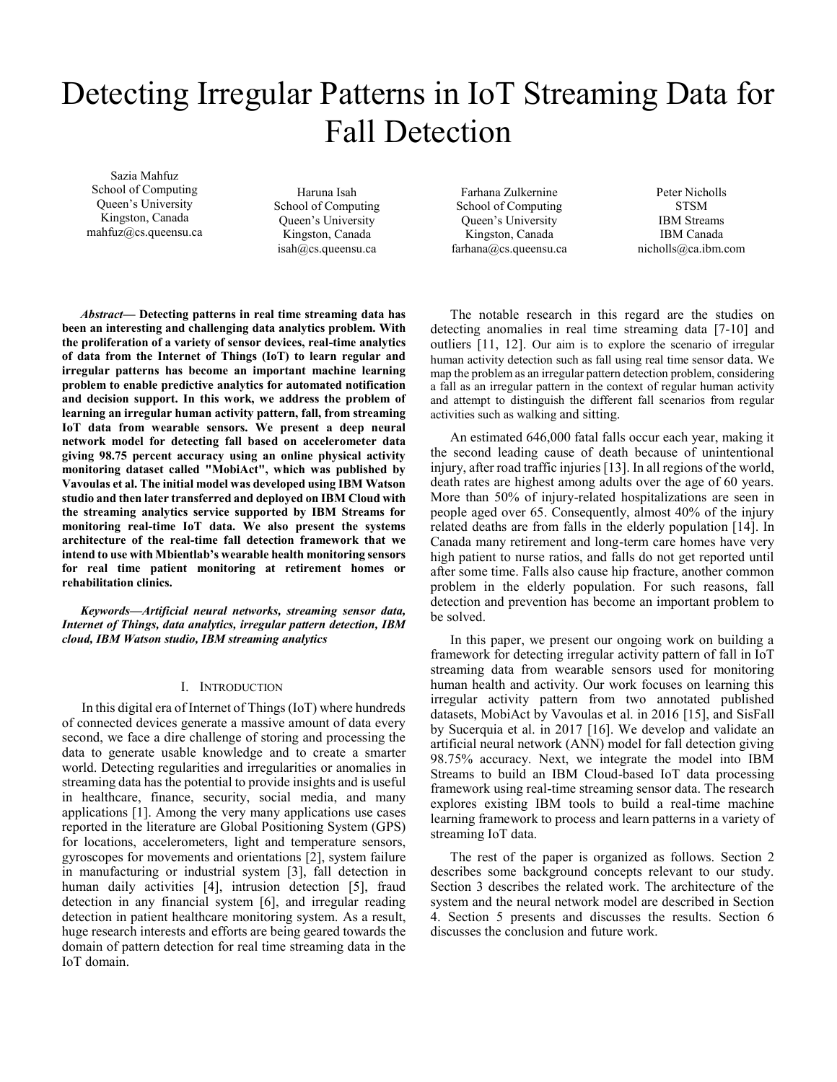# Detecting Irregular Patterns in IoT Streaming Data for Fall Detection

Sazia Mahfuz School of Computing Queen's University Kingston, Canada mahfuz@cs.queensu.ca

Haruna Isah School of Computing Queen's University Kingston, Canada isah@cs.queensu.ca

Farhana Zulkernine School of Computing Queen's University Kingston, Canada farhana@cs.queensu.ca

Peter Nicholls **STSM** IBM Streams IBM Canada nicholls@ca.ibm.com

*Abstract***— Detecting patterns in real time streaming data has been an interesting and challenging data analytics problem. With the proliferation of a variety of sensor devices, real-time analytics of data from the Internet of Things (IoT) to learn regular and irregular patterns has become an important machine learning problem to enable predictive analytics for automated notification and decision support. In this work, we address the problem of learning an irregular human activity pattern, fall, from streaming IoT data from wearable sensors. We present a deep neural network model for detecting fall based on accelerometer data giving 98.75 percent accuracy using an online physical activity monitoring dataset called "MobiAct", which was published by Vavoulas et al. The initial model was developed using IBM Watson studio and then later transferred and deployed on IBM Cloud with the streaming analytics service supported by IBM Streams for monitoring real-time IoT data. We also present the systems architecture of the real-time fall detection framework that we intend to use with Mbientlab's wearable health monitoring sensors for real time patient monitoring at retirement homes or rehabilitation clinics.**

*Keywords—Artificial neural networks, streaming sensor data, Internet of Things, data analytics, irregular pattern detection, IBM cloud, IBM Watson studio, IBM streaming analytics*

# I. INTRODUCTION

In this digital era of Internet of Things (IoT) where hundreds of connected devices generate a massive amount of data every second, we face a dire challenge of storing and processing the data to generate usable knowledge and to create a smarter world. Detecting regularities and irregularities or anomalies in streaming data has the potential to provide insights and is useful in healthcare, finance, security, social media, and many applications [1]. Among the very many applications use cases reported in the literature are Global Positioning System (GPS) for locations, accelerometers, light and temperature sensors, gyroscopes for movements and orientations [2], system failure in manufacturing or industrial system [3], fall detection in human daily activities [4], intrusion detection [5], fraud detection in any financial system [6], and irregular reading detection in patient healthcare monitoring system. As a result, huge research interests and efforts are being geared towards the domain of pattern detection for real time streaming data in the IoT domain.

The notable research in this regard are the studies on detecting anomalies in real time streaming data [7-10] and outliers [11, 12]. Our aim is to explore the scenario of irregular human activity detection such as fall using real time sensor data. We map the problem as an irregular pattern detection problem, considering a fall as an irregular pattern in the context of regular human activity and attempt to distinguish the different fall scenarios from regular activities such as walking and sitting.

An estimated 646,000 fatal falls occur each year, making it the second leading cause of death because of unintentional injury, after road traffic injuries [13]. In all regions of the world, death rates are highest among adults over the age of 60 years. More than 50% of injury-related hospitalizations are seen in people aged over 65. Consequently, almost 40% of the injury related deaths are from falls in the elderly population [14]. In Canada many retirement and long-term care homes have very high patient to nurse ratios, and falls do not get reported until after some time. Falls also cause hip fracture, another common problem in the elderly population. For such reasons, fall detection and prevention has become an important problem to be solved.

In this paper, we present our ongoing work on building a framework for detecting irregular activity pattern of fall in IoT streaming data from wearable sensors used for monitoring human health and activity. Our work focuses on learning this irregular activity pattern from two annotated published datasets, MobiAct by Vavoulas et al. in 2016 [15], and SisFall by Sucerquia et al. in 2017 [16]. We develop and validate an artificial neural network (ANN) model for fall detection giving 98.75% accuracy. Next, we integrate the model into IBM Streams to build an IBM Cloud-based IoT data processing framework using real-time streaming sensor data. The research explores existing IBM tools to build a real-time machine learning framework to process and learn patterns in a variety of streaming IoT data.

The rest of the paper is organized as follows. Section 2 describes some background concepts relevant to our study. Section 3 describes the related work. The architecture of the system and the neural network model are described in Section 4. Section 5 presents and discusses the results. Section 6 discusses the conclusion and future work.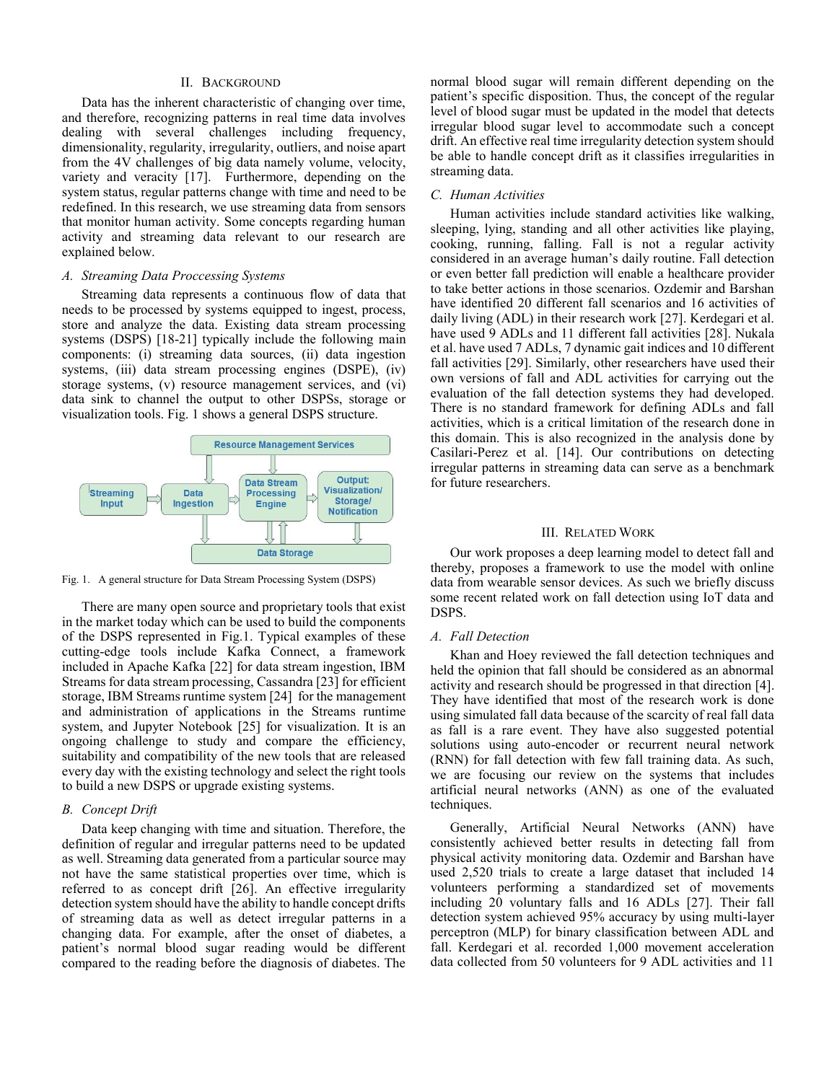## II. BACKGROUND

Data has the inherent characteristic of changing over time, and therefore, recognizing patterns in real time data involves dealing with several challenges including frequency, dimensionality, regularity, irregularity, outliers, and noise apart from the 4V challenges of big data namely volume, velocity, variety and veracity [17]. Furthermore, depending on the system status, regular patterns change with time and need to be redefined. In this research, we use streaming data from sensors that monitor human activity. Some concepts regarding human activity and streaming data relevant to our research are explained below.

## *A. Streaming Data Proccessing Systems*

Streaming data represents a continuous flow of data that needs to be processed by systems equipped to ingest, process, store and analyze the data. Existing data stream processing systems (DSPS) [18-21] typically include the following main components: (i) streaming data sources, (ii) data ingestion systems, (iii) data stream processing engines (DSPE), (iv) storage systems, (v) resource management services, and (vi) data sink to channel the output to other DSPSs, storage or visualization tools. Fig. 1 shows a general DSPS structure.



Fig. 1. A general structure for Data Stream Processing System (DSPS)

There are many open source and proprietary tools that exist in the market today which can be used to build the components of the DSPS represented in Fig.1. Typical examples of these cutting-edge tools include Kafka Connect, a framework included in Apache Kafka [22] for data stream ingestion, IBM Streams for data stream processing, Cassandra [23] for efficient storage, IBM Streams runtime system [24] for the management and administration of applications in the Streams runtime system, and Jupyter Notebook [25] for visualization. It is an ongoing challenge to study and compare the efficiency, suitability and compatibility of the new tools that are released every day with the existing technology and select the right tools to build a new DSPS or upgrade existing systems.

## *B. Concept Drift*

Data keep changing with time and situation. Therefore, the definition of regular and irregular patterns need to be updated as well. Streaming data generated from a particular source may not have the same statistical properties over time, which is referred to as concept drift [26]. An effective irregularity detection system should have the ability to handle concept drifts of streaming data as well as detect irregular patterns in a changing data. For example, after the onset of diabetes, a patient's normal blood sugar reading would be different compared to the reading before the diagnosis of diabetes. The

normal blood sugar will remain different depending on the patient's specific disposition. Thus, the concept of the regular level of blood sugar must be updated in the model that detects irregular blood sugar level to accommodate such a concept drift. An effective real time irregularity detection system should be able to handle concept drift as it classifies irregularities in streaming data.

## *C. Human Activities*

Human activities include standard activities like walking, sleeping, lying, standing and all other activities like playing, cooking, running, falling. Fall is not a regular activity considered in an average human's daily routine. Fall detection or even better fall prediction will enable a healthcare provider to take better actions in those scenarios. Ozdemir and Barshan have identified 20 different fall scenarios and 16 activities of daily living (ADL) in their research work [27]. Kerdegari et al. have used 9 ADLs and 11 different fall activities [28]. Nukala et al. have used 7 ADLs, 7 dynamic gait indices and 10 different fall activities [29]. Similarly, other researchers have used their own versions of fall and ADL activities for carrying out the evaluation of the fall detection systems they had developed. There is no standard framework for defining ADLs and fall activities, which is a critical limitation of the research done in this domain. This is also recognized in the analysis done by Casilari-Perez et al. [14]. Our contributions on detecting irregular patterns in streaming data can serve as a benchmark for future researchers.

## III. RELATED WORK

Our work proposes a deep learning model to detect fall and thereby, proposes a framework to use the model with online data from wearable sensor devices. As such we briefly discuss some recent related work on fall detection using IoT data and DSPS.

# *A. Fall Detection*

Khan and Hoey reviewed the fall detection techniques and held the opinion that fall should be considered as an abnormal activity and research should be progressed in that direction [4]. They have identified that most of the research work is done using simulated fall data because of the scarcity of real fall data as fall is a rare event. They have also suggested potential solutions using auto-encoder or recurrent neural network (RNN) for fall detection with few fall training data. As such, we are focusing our review on the systems that includes artificial neural networks (ANN) as one of the evaluated techniques.

Generally, Artificial Neural Networks (ANN) have consistently achieved better results in detecting fall from physical activity monitoring data. Ozdemir and Barshan have used 2,520 trials to create a large dataset that included 14 volunteers performing a standardized set of movements including 20 voluntary falls and 16 ADLs [27]. Their fall detection system achieved 95% accuracy by using multi-layer perceptron (MLP) for binary classification between ADL and fall. Kerdegari et al. recorded 1,000 movement acceleration data collected from 50 volunteers for 9 ADL activities and 11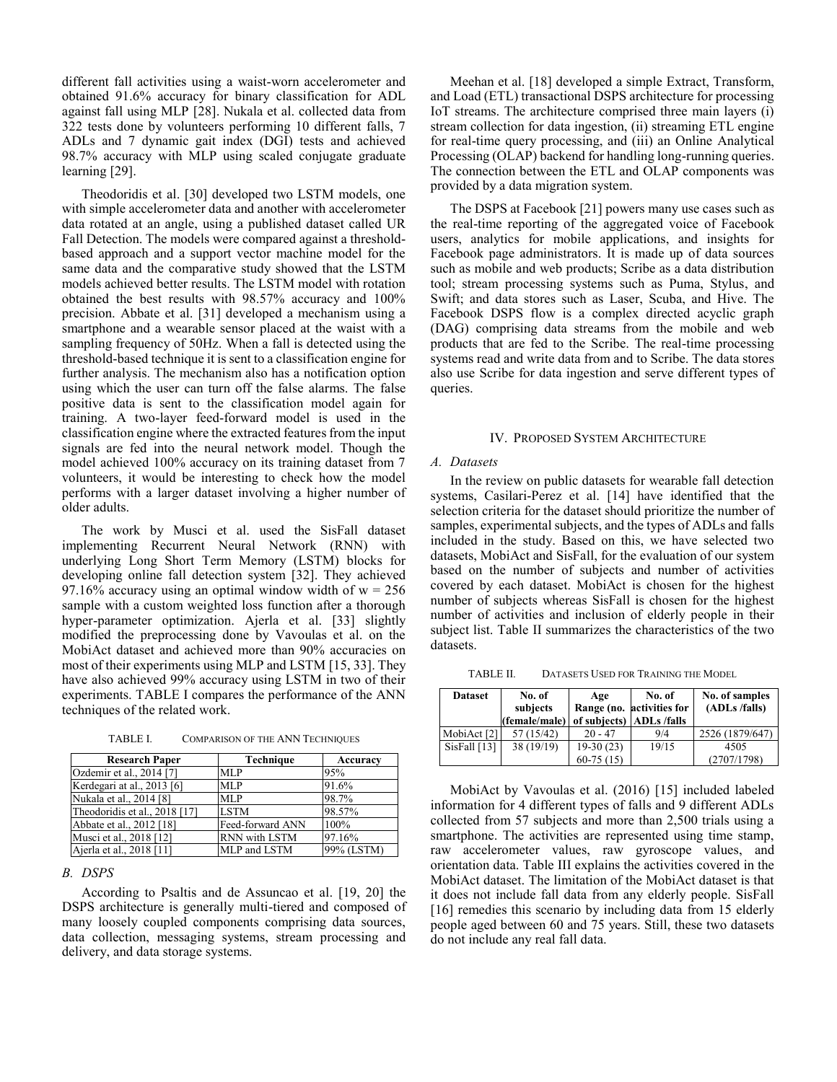different fall activities using a waist-worn accelerometer and obtained 91.6% accuracy for binary classification for ADL against fall using MLP [28]. Nukala et al. collected data from 322 tests done by volunteers performing 10 different falls, 7 ADLs and 7 dynamic gait index (DGI) tests and achieved 98.7% accuracy with MLP using scaled conjugate graduate learning [29].

Theodoridis et al. [30] developed two LSTM models, one with simple accelerometer data and another with accelerometer data rotated at an angle, using a published dataset called UR Fall Detection. The models were compared against a thresholdbased approach and a support vector machine model for the same data and the comparative study showed that the LSTM models achieved better results. The LSTM model with rotation obtained the best results with 98.57% accuracy and 100% precision. Abbate et al. [31] developed a mechanism using a smartphone and a wearable sensor placed at the waist with a sampling frequency of 50Hz. When a fall is detected using the threshold-based technique it is sent to a classification engine for further analysis. The mechanism also has a notification option using which the user can turn off the false alarms. The false positive data is sent to the classification model again for training. A two-layer feed-forward model is used in the classification engine where the extracted features from the input signals are fed into the neural network model. Though the model achieved 100% accuracy on its training dataset from 7 volunteers, it would be interesting to check how the model performs with a larger dataset involving a higher number of older adults.

The work by Musci et al. used the SisFall dataset implementing Recurrent Neural Network (RNN) with underlying Long Short Term Memory (LSTM) blocks for developing online fall detection system [32]. They achieved 97.16% accuracy using an optimal window width of  $w = 256$ sample with a custom weighted loss function after a thorough hyper-parameter optimization. Ajerla et al. [33] slightly modified the preprocessing done by Vavoulas et al. on the MobiAct dataset and achieved more than 90% accuracies on most of their experiments using MLP and LSTM [15, 33]. They have also achieved 99% accuracy using LSTM in two of their experiments. TABLE I compares the performance of the ANN techniques of the related work.

TABLE I. COMPARISON OF THE ANN TECHNIQUES

| <b>Research Paper</b>         | <b>Technique</b> | Accuracy   |
|-------------------------------|------------------|------------|
| Ozdemir et al., 2014 [7]      | <b>MLP</b>       | 95%        |
| Kerdegari at al., 2013 [6]    | MLP              | 91.6%      |
| Nukala et al., 2014 [8]       | MLP              | 98.7%      |
| Theodoridis et al., 2018 [17] | <b>LSTM</b>      | 98.57%     |
| Abbate et al., 2012 [18]      | Feed-forward ANN | 100%       |
| Musci et al., 2018 [12]       | RNN with LSTM    | 97.16%     |
| Ajerla et al., 2018 [11]      | MLP and LSTM     | 99% (LSTM) |

## *B. DSPS*

According to Psaltis and de Assuncao et al. [19, 20] the DSPS architecture is generally multi-tiered and composed of many loosely coupled components comprising data sources, data collection, messaging systems, stream processing and delivery, and data storage systems.

Meehan et al. [18] developed a simple Extract, Transform, and Load (ETL) transactional DSPS architecture for processing IoT streams. The architecture comprised three main layers (i) stream collection for data ingestion, (ii) streaming ETL engine for real-time query processing, and (iii) an Online Analytical Processing (OLAP) backend for handling long-running queries. The connection between the ETL and OLAP components was provided by a data migration system.

The DSPS at Facebook [21] powers many use cases such as the real-time reporting of the aggregated voice of Facebook users, analytics for mobile applications, and insights for Facebook page administrators. It is made up of data sources such as mobile and web products; Scribe as a data distribution tool; stream processing systems such as Puma, Stylus, and Swift; and data stores such as Laser, Scuba, and Hive. The Facebook DSPS flow is a complex directed acyclic graph (DAG) comprising data streams from the mobile and web products that are fed to the Scribe. The real-time processing systems read and write data from and to Scribe. The data stores also use Scribe for data ingestion and serve different types of queries.

#### IV. PROPOSED SYSTEM ARCHITECTURE

#### *A. Datasets*

In the review on public datasets for wearable fall detection systems, Casilari-Perez et al. [14] have identified that the selection criteria for the dataset should prioritize the number of samples, experimental subjects, and the types of ADLs and falls included in the study. Based on this, we have selected two datasets, MobiAct and SisFall, for the evaluation of our system based on the number of subjects and number of activities covered by each dataset. MobiAct is chosen for the highest number of subjects whereas SisFall is chosen for the highest number of activities and inclusion of elderly people in their subject list. Table II summarizes the characteristics of the two datasets.

TABLE II. DATASETS USED FOR TRAINING THE MODEL

| <b>Dataset</b> | No. of<br>subjects<br>(female/male) | Age<br>of subjects) ADLs /falls | No. of<br>Range (no. activities for | No. of samples<br>(ADLs /falls) |  |  |
|----------------|-------------------------------------|---------------------------------|-------------------------------------|---------------------------------|--|--|
| MobiAct [2]    | 57 (15/42)                          | $20 - 47$                       | 9/4                                 | 2526 (1879/647)                 |  |  |
| SisFall $[13]$ | 38(19/19)                           | $19-30(23)$                     | 19/15                               | 4505                            |  |  |
|                |                                     | $60-75(15)$                     |                                     | (2707/1798)                     |  |  |

MobiAct by Vavoulas et al. (2016) [15] included labeled information for 4 different types of falls and 9 different ADLs collected from 57 subjects and more than 2,500 trials using a smartphone. The activities are represented using time stamp, raw accelerometer values, raw gyroscope values, and orientation data. Table III explains the activities covered in the MobiAct dataset. The limitation of the MobiAct dataset is that it does not include fall data from any elderly people. SisFall [16] remedies this scenario by including data from 15 elderly people aged between 60 and 75 years. Still, these two datasets do not include any real fall data.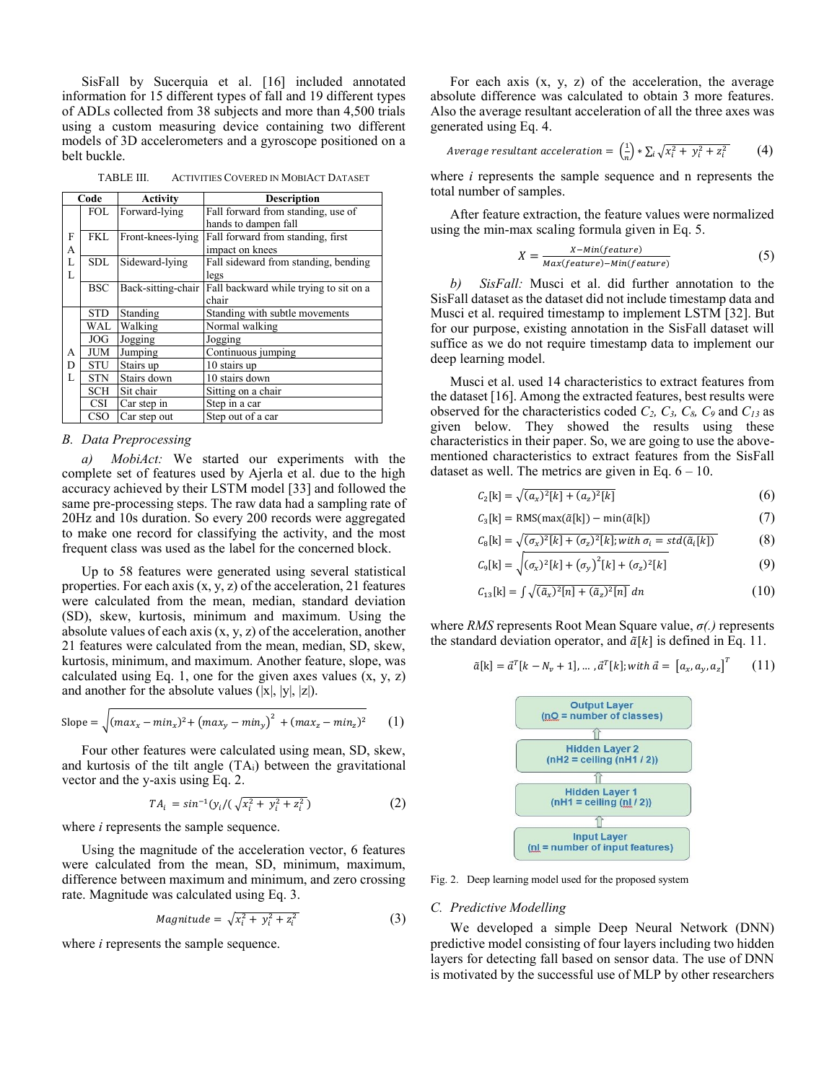SisFall by Sucerquia et al. [16] included annotated information for 15 different types of fall and 19 different types of ADLs collected from 38 subjects and more than 4,500 trials using a custom measuring device containing two different models of 3D accelerometers and a gyroscope positioned on a belt buckle.

TABLE III. ACTIVITIES COVERED IN MOBIACT DATASET

| Code |            | <b>Activity</b>    | <b>Description</b>                     |  |  |  |  |  |  |
|------|------------|--------------------|----------------------------------------|--|--|--|--|--|--|
|      | <b>FOL</b> | Forward-lying      | Fall forward from standing, use of     |  |  |  |  |  |  |
|      |            |                    | hands to dampen fall                   |  |  |  |  |  |  |
| F    | FKL.       | Front-knees-lying  | Fall forward from standing, first      |  |  |  |  |  |  |
| А    |            |                    | impact on knees                        |  |  |  |  |  |  |
| L    | <b>SDL</b> | Sideward-lying     | Fall sideward from standing, bending   |  |  |  |  |  |  |
| L    |            |                    | legs                                   |  |  |  |  |  |  |
|      | <b>BSC</b> | Back-sitting-chair | Fall backward while trying to sit on a |  |  |  |  |  |  |
|      |            |                    | chair                                  |  |  |  |  |  |  |
|      | <b>STD</b> | Standing           | Standing with subtle movements         |  |  |  |  |  |  |
|      | WAL        | Walking            | Normal walking                         |  |  |  |  |  |  |
|      | <b>JOG</b> | Jogging            | Jogging                                |  |  |  |  |  |  |
| A    | <b>JUM</b> | Jumping            | Continuous jumping                     |  |  |  |  |  |  |
| D    | <b>STU</b> | Stairs up          | 10 stairs up                           |  |  |  |  |  |  |
| L    | <b>STN</b> | Stairs down        | 10 stairs down                         |  |  |  |  |  |  |
|      | <b>SCH</b> | Sit chair          | Sitting on a chair                     |  |  |  |  |  |  |
|      | <b>CSI</b> | Car step in        | Step in a car                          |  |  |  |  |  |  |
|      | CSO        | Car step out       | Step out of a car                      |  |  |  |  |  |  |

#### *B. Data Preprocessing*

*a) MobiAct:* We started our experiments with the complete set of features used by Ajerla et al. due to the high accuracy achieved by their LSTM model [33] and followed the same pre-processing steps. The raw data had a sampling rate of 20Hz and 10s duration. So every 200 records were aggregated to make one record for classifying the activity, and the most frequent class was used as the label for the concerned block.

Up to 58 features were generated using several statistical properties. For each axis  $(x, y, z)$  of the acceleration, 21 features were calculated from the mean, median, standard deviation (SD), skew, kurtosis, minimum and maximum. Using the absolute values of each axis  $(x, y, z)$  of the acceleration, another 21 features were calculated from the mean, median, SD, skew, kurtosis, minimum, and maximum. Another feature, slope, was calculated using Eq. 1, one for the given axes values  $(x, y, z)$ and another for the absolute values  $(|x|, |y|, |z|)$ .

Slope = 
$$
\sqrt{(max_x - min_x)^2 + (max_y - min_y)^2 + (max_z - min_z)^2}
$$
 (1)

Four other features were calculated using mean, SD, skew, and kurtosis of the tilt angle (TAi) between the gravitational vector and the y-axis using Eq. 2.

$$
TA_i = \sin^{-1}(y_i/(\sqrt{x_i^2 + y_i^2 + z_i^2}))
$$
 (2)

where *i* represents the sample sequence.

Using the magnitude of the acceleration vector, 6 features were calculated from the mean, SD, minimum, maximum, difference between maximum and minimum, and zero crossing rate. Magnitude was calculated using Eq. 3.

$$
Magnitude = \sqrt{x_i^2 + y_i^2 + z_i^2}
$$
 (3)

where *i* represents the sample sequence.

For each axis  $(x, y, z)$  of the acceleration, the average absolute difference was calculated to obtain 3 more features. Also the average resultant acceleration of all the three axes was generated using Eq. 4.

$$
Average resultant acceleration = \left(\frac{1}{n}\right) * \sum_{i} \sqrt{x_i^2 + y_i^2 + z_i^2} \tag{4}
$$

where *i* represents the sample sequence and n represents the total number of samples.

After feature extraction, the feature values were normalized using the min-max scaling formula given in Eq. 5.

$$
X = \frac{X - Min(fature)}{Max(ffeature) - Min(fvature)}\tag{5}
$$

*b) SisFall:* Musci et al. did further annotation to the SisFall dataset as the dataset did not include timestamp data and Musci et al. required timestamp to implement LSTM [32]. But for our purpose, existing annotation in the SisFall dataset will suffice as we do not require timestamp data to implement our deep learning model.

Musci et al. used 14 characteristics to extract features from the dataset [16]. Among the extracted features, best results were observed for the characteristics coded *C2, C3, C8, C<sup>9</sup>* and *C<sup>13</sup>* as given below. They showed the results using these characteristics in their paper. So, we are going to use the abovementioned characteristics to extract features from the SisFall dataset as well. The metrics are given in Eq.  $6 - 10$ .

$$
C_2[k] = \sqrt{(a_x)^2[k] + (a_z)^2[k]} \tag{6}
$$

$$
C_3[k] = \text{RMS}(\max(\tilde{\alpha}[k]) - \min(\tilde{\alpha}[k]) \tag{7}
$$

$$
C_8[k] = \sqrt{(\sigma_x)^2[k] + (\sigma_z)^2[k]}; with \sigma_i = std(\tilde{a}_i[k])
$$
 (8)

$$
C_9[k] = \sqrt{(\sigma_x)^2[k] + (\sigma_y)^2[k] + (\sigma_z)^2[k]}
$$
 (9)

$$
C_{13}[k] = \int \sqrt{(\tilde{a}_x)^2[n] + (\tilde{a}_z)^2[n]} \, dn \tag{10}
$$

where *RMS* represents Root Mean Square value, *σ(.)* represents the standard deviation operator, and  $\tilde{a}[k]$  is defined in Eq. 11.

$$
\tilde{a}[k] = \vec{a}^T[k - N_v + 1], \dots, \vec{a}^T[k]; with \vec{a} = [a_x, a_y, a_z]^T
$$
 (11)



Fig. 2. Deep learning model used for the proposed system

# *C. Predictive Modelling*

We developed a simple Deep Neural Network (DNN) predictive model consisting of four layers including two hidden layers for detecting fall based on sensor data. The use of DNN is motivated by the successful use of MLP by other researchers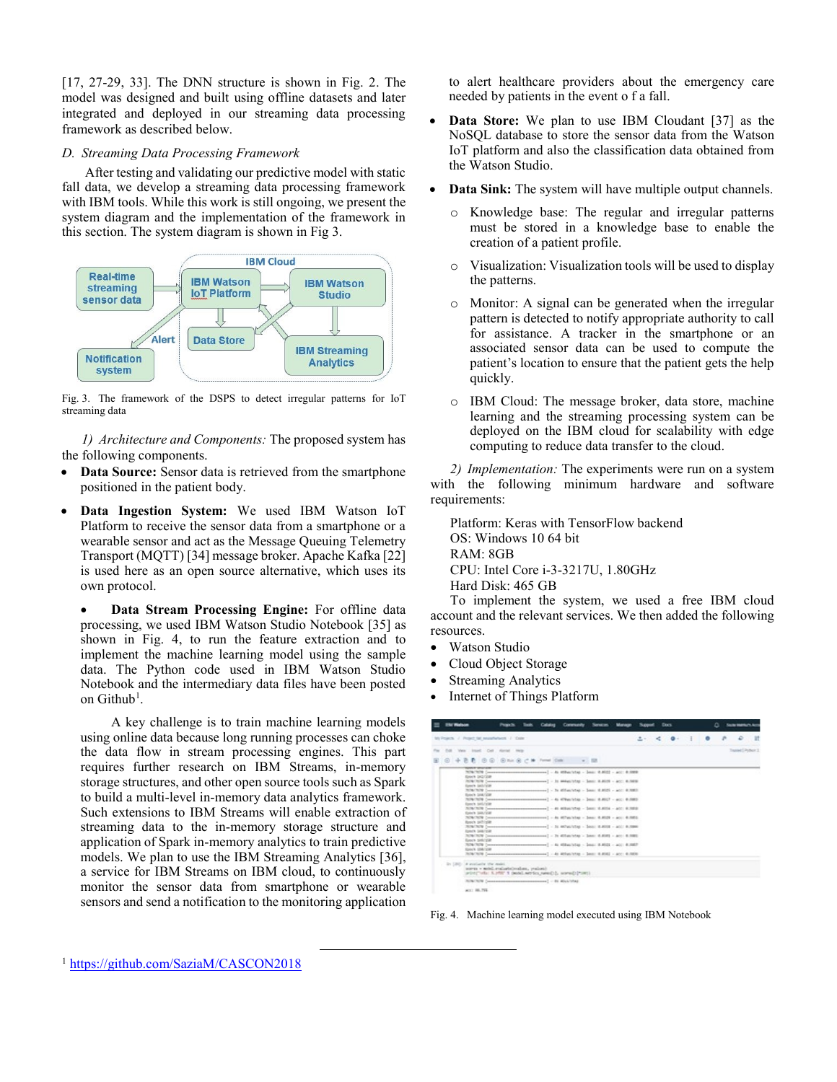[17, 27-29, 33]. The DNN structure is shown in Fig. 2. The model was designed and built using offline datasets and later integrated and deployed in our streaming data processing framework as described below.

# *D. Streaming Data Processing Framework*

After testing and validating our predictive model with static fall data, we develop a streaming data processing framework with IBM tools. While this work is still ongoing, we present the system diagram and the implementation of the framework in this section. The system diagram is shown in Fig 3.



Fig. 3. The framework of the DSPS to detect irregular patterns for IoT streaming data

*1) Architecture and Components:* The proposed system has the following components.

- **Data Source:** Sensor data is retrieved from the smartphone positioned in the patient body.
- **Data Ingestion System:** We used IBM Watson IoT Platform to receive the sensor data from a smartphone or a wearable sensor and act as the Message Queuing Telemetry Transport (MQTT) [34] message broker. Apache Kafka [22] is used here as an open source alternative, which uses its own protocol.

• **Data Stream Processing Engine:** For offline data processing, we used IBM Watson Studio Notebook [35] as shown in Fig. 4, to run the feature extraction and to implement the machine learning model using the sample data. The Python code used in IBM Watson Studio Notebook and the intermediary data files have been posted on Github<sup>1</sup>.

A key challenge is to train machine learning models using online data because long running processes can choke the data flow in stream processing engines. This part requires further research on IBM Streams, in-memory storage structures, and other open source tools such as Spark to build a multi-level in-memory data analytics framework. Such extensions to IBM Streams will enable extraction of streaming data to the in-memory storage structure and application of Spark in-memory analytics to train predictive models. We plan to use the IBM Streaming Analytics [36], a service for IBM Streams on IBM cloud, to continuously monitor the sensor data from smartphone or wearable sensors and send a notification to the monitoring application

 $\overline{\phantom{a}}$ 

to alert healthcare providers about the emergency care needed by patients in the event o f a fall.

- **Data Store:** We plan to use IBM Cloudant [37] as the NoSQL database to store the sensor data from the Watson IoT platform and also the classification data obtained from the Watson Studio.
- **Data Sink:** The system will have multiple output channels.
	- o Knowledge base: The regular and irregular patterns must be stored in a knowledge base to enable the creation of a patient profile.
	- o Visualization: Visualization tools will be used to display the patterns.
	- o Monitor: A signal can be generated when the irregular pattern is detected to notify appropriate authority to call for assistance. A tracker in the smartphone or an associated sensor data can be used to compute the patient's location to ensure that the patient gets the help quickly.
	- o IBM Cloud: The message broker, data store, machine learning and the streaming processing system can be deployed on the IBM cloud for scalability with edge computing to reduce data transfer to the cloud.

*2) Implementation:* The experiments were run on a system with the following minimum hardware and software requirements:

Platform: Keras with TensorFlow backend OS: Windows 10 64 bit RAM: 8GB CPU: Intel Core i-3-3217U, 1.80GHz Hard Disk: 465 GB

To implement the system, we used a free IBM cloud account and the relevant services. We then added the following resources.

- Watson Studio
- Cloud Object Storage
- **Streaming Analytics**
- Internet of Things Platform

| <b>Els Walson</b>                 |                                                                                                                                                                                                                                                                                                                                                                                                                                                                                                                                                                                                                                                                                                                                                                                                                                                                                                                                                                                                                                                                                                                                                                                                                                                                                                                                                                                                                               | Projects. | Cabilet | Conmandy | <b>Senators</b> | Manager |         | facs.     |  | Δ | <b>Submaturus</b> |   |
|-----------------------------------|-------------------------------------------------------------------------------------------------------------------------------------------------------------------------------------------------------------------------------------------------------------------------------------------------------------------------------------------------------------------------------------------------------------------------------------------------------------------------------------------------------------------------------------------------------------------------------------------------------------------------------------------------------------------------------------------------------------------------------------------------------------------------------------------------------------------------------------------------------------------------------------------------------------------------------------------------------------------------------------------------------------------------------------------------------------------------------------------------------------------------------------------------------------------------------------------------------------------------------------------------------------------------------------------------------------------------------------------------------------------------------------------------------------------------------|-----------|---------|----------|-----------------|---------|---------|-----------|--|---|-------------------|---|
|                                   | McPoarch / Project fall resultativists / Crate                                                                                                                                                                                                                                                                                                                                                                                                                                                                                                                                                                                                                                                                                                                                                                                                                                                                                                                                                                                                                                                                                                                                                                                                                                                                                                                                                                                |           |         |          |                 |         | $1 - 1$ | $2 - 0 -$ |  |   | o                 | Ħ |
|                                   | Full View load: Call Airclaf Incis-                                                                                                                                                                                                                                                                                                                                                                                                                                                                                                                                                                                                                                                                                                                                                                                                                                                                                                                                                                                                                                                                                                                                                                                                                                                                                                                                                                                           |           |         |          |                 |         |         |           |  |   | Trained Dyman 3   |   |
| E 0 + B B 0 0 0 km 8 c M from Cok |                                                                                                                                                                                                                                                                                                                                                                                                                                                                                                                                                                                                                                                                                                                                                                                                                                                                                                                                                                                                                                                                                                                                                                                                                                                                                                                                                                                                                               |           |         |          | $-108$          |         |         |           |  |   |                   |   |
|                                   | 209/209 [managements communicated] - At 6500/250 - 2011 0.8022 - acc: 4.000<br>Sport DISTING<br>2010/02/0 Consumers accommodates and - 21 Miles Virtue - Senior 8, 8020 - Acc - 8, 8030<br>Europh Salvingan<br>TOUCHPR (HomeHammaHammaHammaHammaH] - 3x ATT-M/CAR - Seat 4,4521 - ACC: 4,1883)<br>Beloit MATCH<br>TOUTER Consecutives recommendations ] - At 47940/1240 - 2010; 8.8027 - act: 0.0003<br><b>Roberts</b> , besturance<br>2004/309 Connections resonances and - 40 Miller/May - Sect. 6,4054 - 401; 4,3858<br>Sale's SAU'ER<br>NORTHWAY (Homeworkscheenhousement) - As Milwrithm - June: 0.8529 - app: 0.8852.<br>Booth self-rate<br>2019/2019 [measuremeasuremeasuremeal] - 24 MPac/clap - 2450 - 2450 - 2450 - 2380<br>Senita Search<br>2006/2009 Connections are assumed as in a state of the Character of ASS and ASS and ASS and ASS and ASS and ASS are a set of ASS and ASS and ASS are a set of ASS and ASS and ASS are a set of ASS and ASS are a set of ASS an<br>Banch, Solution<br>TOUCH (newspapermanners continued) - 8: Eliga Villa - Seat 8,802 - and 8,882<br>Episy's 154/108<br>2014/2019 [managementscorescences and ] - 41 405/67/2012 - 2010   4.858] - 400: 4.0000<br>In 1982. In products the main,<br>sores - actel evaluateixualist, yeaheal-<br>wint ("vils: X.1950" il padal nervica nees(1), scans(1)*1001)<br>2010/301 (название полности с пользовать) от 400/400<br>ALL: 186, 79% |           |         |          |                 |         |         |           |  |   |                   |   |

Fig. 4. Machine learning model executed using IBM Notebook

<sup>1</sup> <https://github.com/SaziaM/CASCON2018>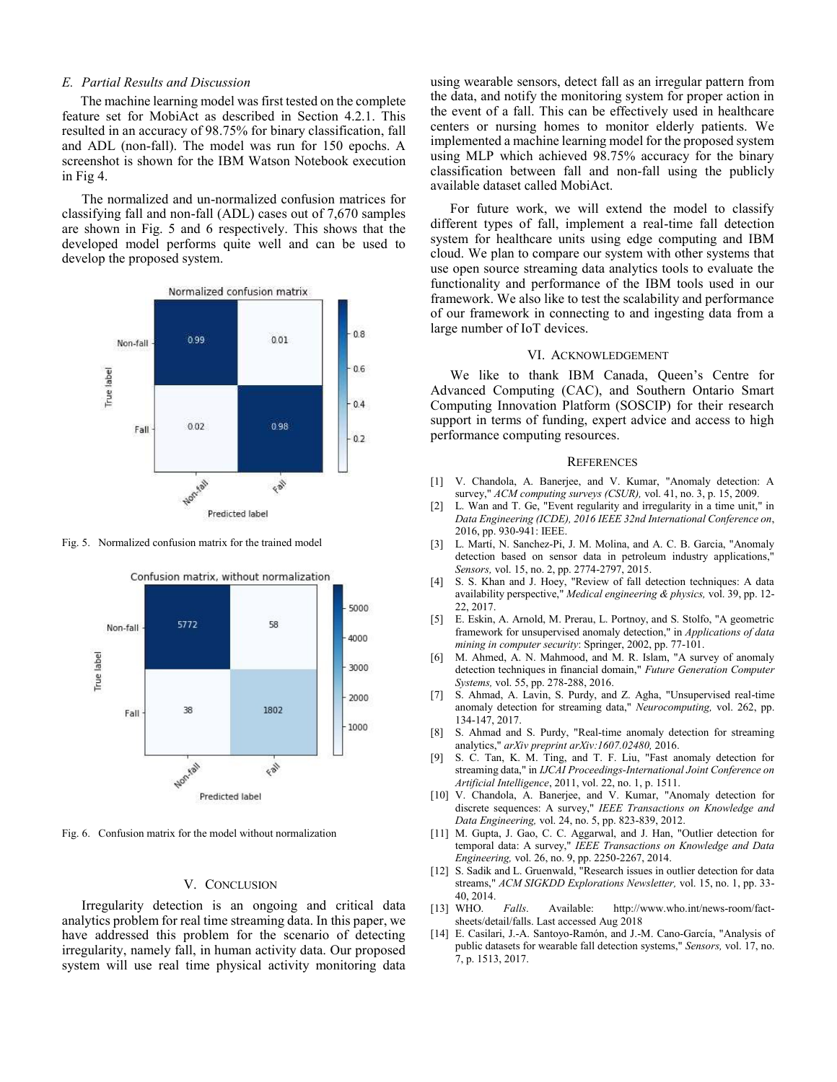#### *E. Partial Results and Discussion*

The machine learning model was first tested on the complete feature set for MobiAct as described in Section 4.2.1. This resulted in an accuracy of 98.75% for binary classification, fall and ADL (non-fall). The model was run for 150 epochs. A screenshot is shown for the IBM Watson Notebook execution in Fig 4.

The normalized and un-normalized confusion matrices for classifying fall and non-fall (ADL) cases out of 7,670 samples are shown in Fig. 5 and 6 respectively. This shows that the developed model performs quite well and can be used to develop the proposed system.



Fig. 5. Normalized confusion matrix for the trained model



Fig. 6. Confusion matrix for the model without normalization

## V. CONCLUSION

Irregularity detection is an ongoing and critical data analytics problem for real time streaming data. In this paper, we have addressed this problem for the scenario of detecting irregularity, namely fall, in human activity data. Our proposed system will use real time physical activity monitoring data using wearable sensors, detect fall as an irregular pattern from the data, and notify the monitoring system for proper action in the event of a fall. This can be effectively used in healthcare centers or nursing homes to monitor elderly patients. We implemented a machine learning model for the proposed system using MLP which achieved 98.75% accuracy for the binary classification between fall and non-fall using the publicly available dataset called MobiAct.

For future work, we will extend the model to classify different types of fall, implement a real-time fall detection system for healthcare units using edge computing and IBM cloud. We plan to compare our system with other systems that use open source streaming data analytics tools to evaluate the functionality and performance of the IBM tools used in our framework. We also like to test the scalability and performance of our framework in connecting to and ingesting data from a large number of IoT devices.

#### VI. ACKNOWLEDGEMENT

We like to thank IBM Canada, Queen's Centre for Advanced Computing (CAC), and Southern Ontario Smart Computing Innovation Platform (SOSCIP) for their research support in terms of funding, expert advice and access to high performance computing resources.

#### **REFERENCES**

- [1] V. Chandola, A. Banerjee, and V. Kumar, "Anomaly detection: A survey," *ACM computing surveys (CSUR),* vol. 41, no. 3, p. 15, 2009.
- [2] L. Wan and T. Ge, "Event regularity and irregularity in a time unit," in *Data Engineering (ICDE), 2016 IEEE 32nd International Conference on*, 2016, pp. 930-941: IEEE.
- [3] L. Martí, N. Sanchez-Pi, J. M. Molina, and A. C. B. Garcia, "Anomaly detection based on sensor data in petroleum industry applications," *Sensors,* vol. 15, no. 2, pp. 2774-2797, 2015.
- [4] S. S. Khan and J. Hoey, "Review of fall detection techniques: A data availability perspective," *Medical engineering & physics,* vol. 39, pp. 12- 22, 2017.
- [5] E. Eskin, A. Arnold, M. Prerau, L. Portnoy, and S. Stolfo, "A geometric framework for unsupervised anomaly detection," in *Applications of data mining in computer security*: Springer, 2002, pp. 77-101.
- [6] M. Ahmed, A. N. Mahmood, and M. R. Islam, "A survey of anomaly detection techniques in financial domain," *Future Generation Computer Systems,* vol. 55, pp. 278-288, 2016.
- [7] S. Ahmad, A. Lavin, S. Purdy, and Z. Agha, "Unsupervised real-time anomaly detection for streaming data," *Neurocomputing,* vol. 262, pp. 134-147, 2017.
- [8] S. Ahmad and S. Purdy, "Real-time anomaly detection for streaming analytics," *arXiv preprint arXiv:1607.02480,* 2016.
- [9] S. C. Tan, K. M. Ting, and T. F. Liu, "Fast anomaly detection for streaming data," in *IJCAI Proceedings-International Joint Conference on Artificial Intelligence*, 2011, vol. 22, no. 1, p. 1511.
- [10] V. Chandola, A. Banerjee, and V. Kumar, "Anomaly detection for discrete sequences: A survey," *IEEE Transactions on Knowledge and Data Engineering,* vol. 24, no. 5, pp. 823-839, 2012.
- [11] M. Gupta, J. Gao, C. C. Aggarwal, and J. Han, "Outlier detection for temporal data: A survey," *IEEE Transactions on Knowledge and Data Engineering,* vol. 26, no. 9, pp. 2250-2267, 2014.
- [12] S. Sadik and L. Gruenwald, "Research issues in outlier detection for data streams," *ACM SIGKDD Explorations Newsletter,* vol. 15, no. 1, pp. 33- 40, 2014.<br>[13] WHO.
- Falls. Available: http://www.who.int/news-room/factsheets/detail/falls. Last accessed Aug 2018
- [14] E. Casilari, J.-A. Santoyo-Ramón, and J.-M. Cano-García, "Analysis of public datasets for wearable fall detection systems," *Sensors,* vol. 17, no. 7, p. 1513, 2017.